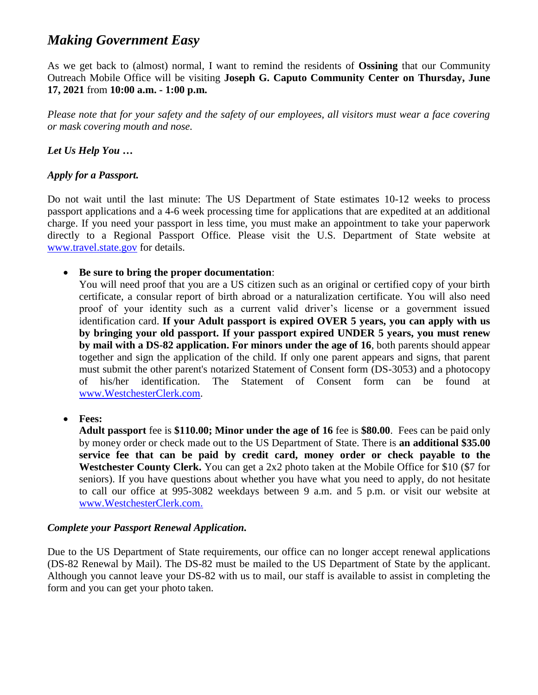# *Making Government Easy*

As we get back to (almost) normal, I want to remind the residents of **Ossining** that our Community Outreach Mobile Office will be visiting **Joseph G. Caputo Community Center on Thursday, June 17, 2021** from **10:00 a.m. - 1:00 p.m.**

*Please note that for your safety and the safety of our employees, all visitors must wear a face covering or mask covering mouth and nose.*

*Let Us Help You …*

# *Apply for a Passport.*

Do not wait until the last minute: The US Department of State estimates 10-12 weeks to process passport applications and a 4-6 week processing time for applications that are expedited at an additional charge. If you need your passport in less time, you must make an appointment to take your paperwork directly to a Regional Passport Office. Please visit the U.S. Department of State website at [www.travel.state.gov](http://www.travel.state.gov/) for details.

**Be sure to bring the proper documentation**:

You will need proof that you are a US citizen such as an original or certified copy of your birth certificate, a consular report of birth abroad or a naturalization certificate. You will also need proof of your identity such as a current valid driver's license or a government issued identification card. **If your Adult passport is expired OVER 5 years, you can apply with us by bringing your old passport. If your passport expired UNDER 5 years, you must renew by mail with a DS-82 application. For minors under the age of 16**, both parents should appear together and sign the application of the child. If only one parent appears and signs, that parent must submit the other parent's notarized Statement of Consent form (DS-3053) and a photocopy of his/her identification. The Statement of Consent form can be found at [www.WestchesterClerk.com.](http://www.westchesterclerk.com/)

**Fees:**

**Adult passport** fee is **\$110.00; Minor under the age of 16** fee is **\$80.00**. Fees can be paid only by money order or check made out to the US Department of State. There is **an additional \$35.00 service fee that can be paid by credit card, money order or check payable to the Westchester County Clerk.** You can get a 2x2 photo taken at the Mobile Office for \$10 (\$7 for seniors). If you have questions about whether you have what you need to apply, do not hesitate to call our office at 995-3082 weekdays between 9 a.m. and 5 p.m. or visit our website at [www.WestchesterClerk.com.](http://www.westchesterclerk.com/)

# *Complete your Passport Renewal Application.*

Due to the US Department of State requirements, our office can no longer accept renewal applications (DS-82 Renewal by Mail). The DS-82 must be mailed to the US Department of State by the applicant. Although you cannot leave your DS-82 with us to mail, our staff is available to assist in completing the form and you can get your photo taken.